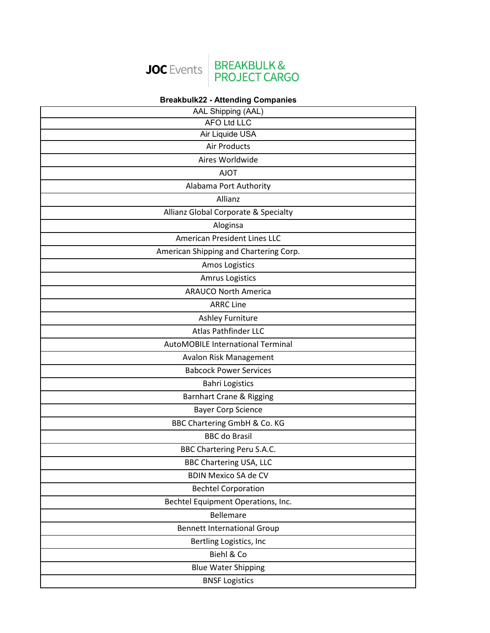

## **Breakbulk22 - Attending Companies**

| AAL Shipping (AAL)                       |
|------------------------------------------|
| <b>AFO Ltd LLC</b>                       |
| Air Liquide USA                          |
| <b>Air Products</b>                      |
| Aires Worldwide                          |
| <b>AJOT</b>                              |
| Alabama Port Authority                   |
| Allianz                                  |
| Allianz Global Corporate & Specialty     |
| Aloginsa                                 |
| American President Lines LLC             |
| American Shipping and Chartering Corp.   |
| Amos Logistics                           |
| <b>Amrus Logistics</b>                   |
| <b>ARAUCO North America</b>              |
| <b>ARRC Line</b>                         |
| Ashley Furniture                         |
| Atlas Pathfinder LLC                     |
| <b>AutoMOBILE International Terminal</b> |
| <b>Avalon Risk Management</b>            |
| <b>Babcock Power Services</b>            |
| <b>Bahri Logistics</b>                   |
| Barnhart Crane & Rigging                 |
| <b>Bayer Corp Science</b>                |
| BBC Chartering GmbH & Co. KG             |
| <b>BBC</b> do Brasil                     |
| <b>BBC Chartering Peru S.A.C.</b>        |
| <b>BBC Chartering USA, LLC</b>           |
| <b>BDIN Mexico SA de CV</b>              |
| <b>Bechtel Corporation</b>               |
| Bechtel Equipment Operations, Inc.       |
| <b>Bellemare</b>                         |
| <b>Bennett International Group</b>       |
| Bertling Logistics, Inc                  |
| Biehl & Co                               |
| <b>Blue Water Shipping</b>               |
| <b>BNSF Logistics</b>                    |
|                                          |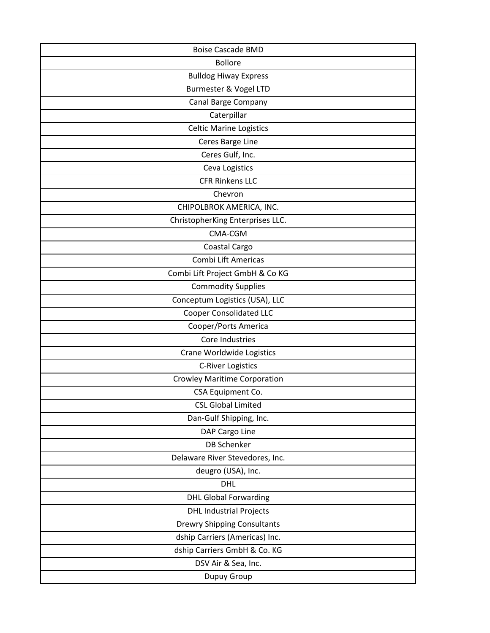| <b>Boise Cascade BMD</b>            |
|-------------------------------------|
| <b>Bollore</b>                      |
| <b>Bulldog Hiway Express</b>        |
| Burmester & Vogel LTD               |
| Canal Barge Company                 |
| Caterpillar                         |
| <b>Celtic Marine Logistics</b>      |
| Ceres Barge Line                    |
| Ceres Gulf, Inc.                    |
| Ceva Logistics                      |
| <b>CFR Rinkens LLC</b>              |
| Chevron                             |
| CHIPOLBROK AMERICA, INC.            |
| ChristopherKing Enterprises LLC.    |
| CMA-CGM                             |
| Coastal Cargo                       |
| Combi Lift Americas                 |
| Combi Lift Project GmbH & Co KG     |
| <b>Commodity Supplies</b>           |
| Conceptum Logistics (USA), LLC      |
| <b>Cooper Consolidated LLC</b>      |
| Cooper/Ports America                |
| Core Industries                     |
| Crane Worldwide Logistics           |
| <b>C-River Logistics</b>            |
| <b>Crowley Maritime Corporation</b> |
| CSA Equipment Co.                   |
| <b>CSL Global Limited</b>           |
| Dan-Gulf Shipping, Inc.             |
| DAP Cargo Line                      |
| <b>DB Schenker</b>                  |
| Delaware River Stevedores, Inc.     |
| deugro (USA), Inc.                  |
| <b>DHL</b>                          |
| <b>DHL Global Forwarding</b>        |
| <b>DHL Industrial Projects</b>      |
| <b>Drewry Shipping Consultants</b>  |
| dship Carriers (Americas) Inc.      |
| dship Carriers GmbH & Co. KG        |
| DSV Air & Sea, Inc.                 |
| Dupuy Group                         |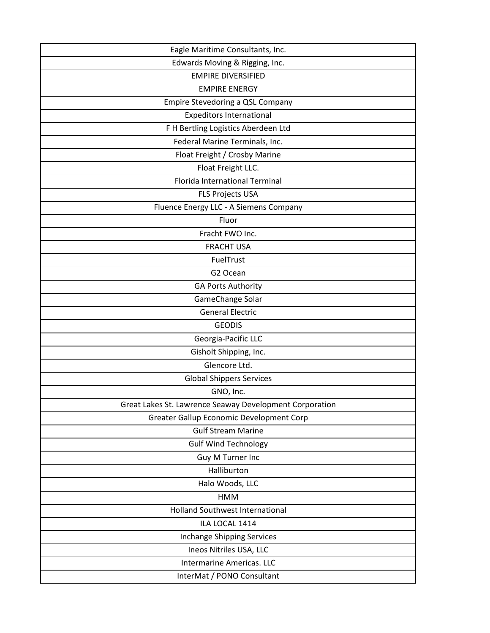| Eagle Maritime Consultants, Inc.                        |
|---------------------------------------------------------|
| Edwards Moving & Rigging, Inc.                          |
| <b>EMPIRE DIVERSIFIED</b>                               |
| <b>EMPIRE ENERGY</b>                                    |
| Empire Stevedoring a QSL Company                        |
| <b>Expeditors International</b>                         |
| F H Bertling Logistics Aberdeen Ltd                     |
| Federal Marine Terminals, Inc.                          |
| Float Freight / Crosby Marine                           |
| Float Freight LLC.                                      |
| <b>Florida International Terminal</b>                   |
| <b>FLS Projects USA</b>                                 |
| Fluence Energy LLC - A Siemens Company                  |
| Fluor                                                   |
| Fracht FWO Inc.                                         |
| <b>FRACHT USA</b>                                       |
| FuelTrust                                               |
| G2 Ocean                                                |
| <b>GA Ports Authority</b>                               |
| GameChange Solar                                        |
| <b>General Electric</b>                                 |
| <b>GEODIS</b>                                           |
| Georgia-Pacific LLC                                     |
| Gisholt Shipping, Inc.                                  |
| Glencore Ltd.                                           |
| <b>Global Shippers Services</b>                         |
| GNO, Inc.                                               |
| Great Lakes St. Lawrence Seaway Development Corporation |
| Greater Gallup Economic Development Corp                |
| <b>Gulf Stream Marine</b>                               |
| <b>Gulf Wind Technology</b>                             |
| Guy M Turner Inc                                        |
| Halliburton                                             |
| Halo Woods, LLC                                         |
| <b>HMM</b>                                              |
| <b>Holland Southwest International</b>                  |
| ILA LOCAL 1414                                          |
| Inchange Shipping Services                              |
| Ineos Nitriles USA, LLC                                 |
| <b>Intermarine Americas. LLC</b>                        |
| InterMat / PONO Consultant                              |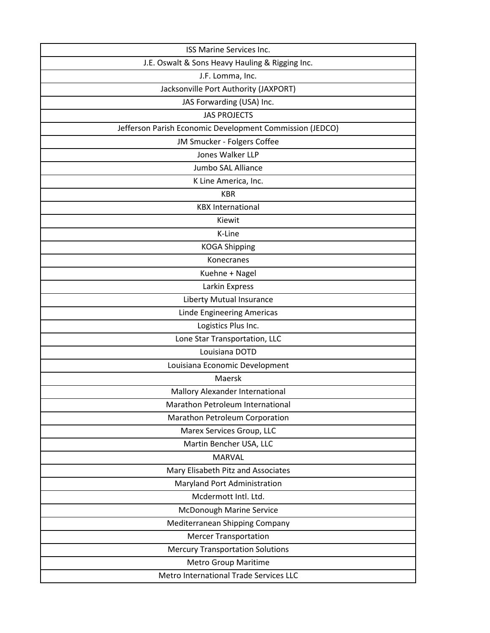| ISS Marine Services Inc.                                 |
|----------------------------------------------------------|
| J.E. Oswalt & Sons Heavy Hauling & Rigging Inc.          |
| J.F. Lomma, Inc.                                         |
| Jacksonville Port Authority (JAXPORT)                    |
| JAS Forwarding (USA) Inc.                                |
| <b>JAS PROJECTS</b>                                      |
| Jefferson Parish Economic Development Commission (JEDCO) |
| JM Smucker - Folgers Coffee                              |
| Jones Walker LLP                                         |
| Jumbo SAL Alliance                                       |
| K Line America, Inc.                                     |
| <b>KBR</b>                                               |
| <b>KBX International</b>                                 |
| Kiewit                                                   |
| K-Line                                                   |
| <b>KOGA Shipping</b>                                     |
| Konecranes                                               |
| Kuehne + Nagel                                           |
| Larkin Express                                           |
| <b>Liberty Mutual Insurance</b>                          |
| Linde Engineering Americas                               |
| Logistics Plus Inc.                                      |
| Lone Star Transportation, LLC                            |
| Louisiana DOTD                                           |
| Louisiana Economic Development                           |
| Maersk                                                   |
| Mallory Alexander International                          |
| Marathon Petroleum International                         |
| Marathon Petroleum Corporation                           |
| Marex Services Group, LLC                                |
| Martin Bencher USA, LLC                                  |
| <b>MARVAL</b>                                            |
| Mary Elisabeth Pitz and Associates                       |
| Maryland Port Administration                             |
| Mcdermott Intl. Ltd.                                     |
| McDonough Marine Service                                 |
| Mediterranean Shipping Company                           |
| <b>Mercer Transportation</b>                             |
| <b>Mercury Transportation Solutions</b>                  |
| <b>Metro Group Maritime</b>                              |
| Metro International Trade Services LLC                   |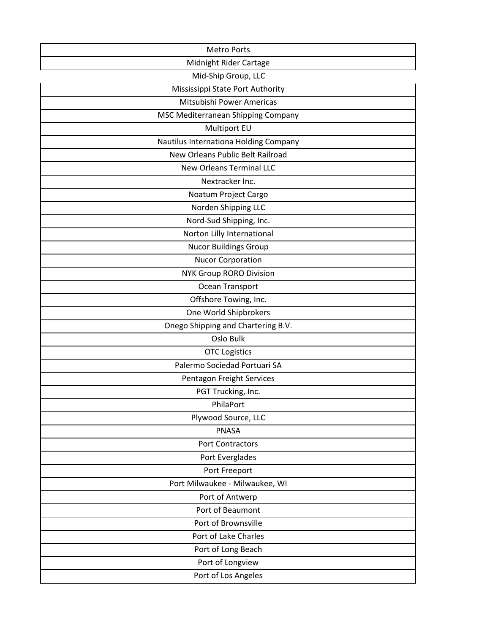| <b>Metro Ports</b>                    |
|---------------------------------------|
| Midnight Rider Cartage                |
| Mid-Ship Group, LLC                   |
| Mississippi State Port Authority      |
| Mitsubishi Power Americas             |
| MSC Mediterranean Shipping Company    |
| Multiport EU                          |
| Nautilus Internationa Holding Company |
| New Orleans Public Belt Railroad      |
| <b>New Orleans Terminal LLC</b>       |
| Nextracker Inc.                       |
| Noatum Project Cargo                  |
| Norden Shipping LLC                   |
| Nord-Sud Shipping, Inc.               |
| Norton Lilly International            |
| <b>Nucor Buildings Group</b>          |
| <b>Nucor Corporation</b>              |
| <b>NYK Group RORO Division</b>        |
| Ocean Transport                       |
| Offshore Towing, Inc.                 |
| One World Shipbrokers                 |
| Onego Shipping and Chartering B.V.    |
| Oslo Bulk                             |
| <b>OTC Logistics</b>                  |
| Palermo Sociedad Portuari SA          |
| Pentagon Freight Services             |
| PGT Trucking, Inc.                    |
| PhilaPort                             |
| Plywood Source, LLC                   |
| <b>PNASA</b>                          |
| <b>Port Contractors</b>               |
| Port Everglades                       |
| Port Freeport                         |
| Port Milwaukee - Milwaukee, WI        |
| Port of Antwerp                       |
| Port of Beaumont                      |
| Port of Brownsville                   |
| Port of Lake Charles                  |
| Port of Long Beach                    |
| Port of Longview                      |
| Port of Los Angeles                   |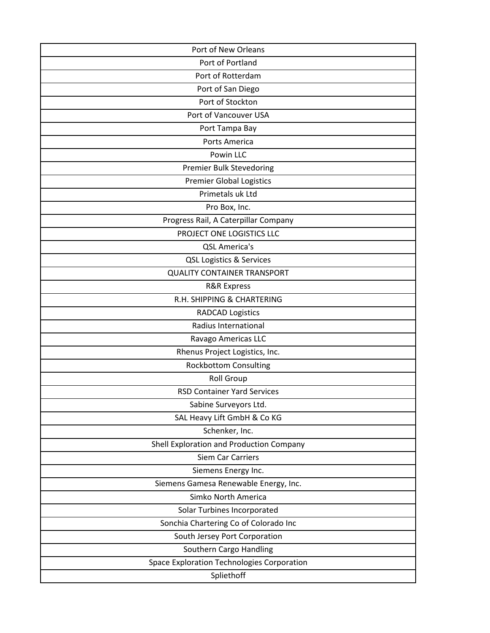| Port of New Orleans                        |
|--------------------------------------------|
| Port of Portland                           |
| Port of Rotterdam                          |
| Port of San Diego                          |
| Port of Stockton                           |
| Port of Vancouver USA                      |
| Port Tampa Bay                             |
| Ports America                              |
| Powin LLC                                  |
| <b>Premier Bulk Stevedoring</b>            |
| <b>Premier Global Logistics</b>            |
| Primetals uk Ltd                           |
| Pro Box, Inc.                              |
| Progress Rail, A Caterpillar Company       |
| PROJECT ONE LOGISTICS LLC                  |
| <b>QSL America's</b>                       |
| QSL Logistics & Services                   |
| <b>QUALITY CONTAINER TRANSPORT</b>         |
| <b>R&amp;R Express</b>                     |
| R.H. SHIPPING & CHARTERING                 |
| <b>RADCAD Logistics</b>                    |
| Radius International                       |
| Ravago Americas LLC                        |
| Rhenus Project Logistics, Inc.             |
| <b>Rockbottom Consulting</b>               |
| <b>Roll Group</b>                          |
| <b>RSD Container Yard Services</b>         |
| Sabine Surveyors Ltd.                      |
| SAL Heavy Lift GmbH & Co KG                |
| Schenker, Inc.                             |
| Shell Exploration and Production Company   |
| <b>Siem Car Carriers</b>                   |
| Siemens Energy Inc.                        |
| Siemens Gamesa Renewable Energy, Inc.      |
| Simko North America                        |
| Solar Turbines Incorporated                |
| Sonchia Chartering Co of Colorado Inc      |
| South Jersey Port Corporation              |
| Southern Cargo Handling                    |
| Space Exploration Technologies Corporation |
| Spliethoff                                 |